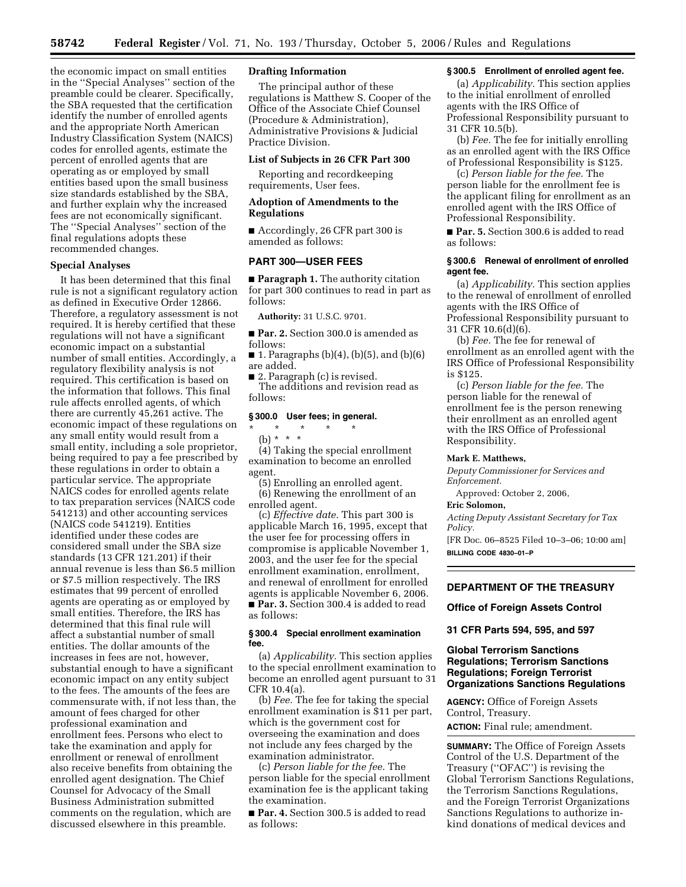the economic impact on small entities in the ''Special Analyses'' section of the preamble could be clearer. Specifically, the SBA requested that the certification identify the number of enrolled agents and the appropriate North American Industry Classification System (NAICS) codes for enrolled agents, estimate the percent of enrolled agents that are operating as or employed by small entities based upon the small business size standards established by the SBA, and further explain why the increased fees are not economically significant. The ''Special Analyses'' section of the final regulations adopts these recommended changes.

### **Special Analyses**

It has been determined that this final rule is not a significant regulatory action as defined in Executive Order 12866. Therefore, a regulatory assessment is not required. It is hereby certified that these regulations will not have a significant economic impact on a substantial number of small entities. Accordingly, a regulatory flexibility analysis is not required. This certification is based on the information that follows. This final rule affects enrolled agents, of which there are currently 45,261 active. The economic impact of these regulations on any small entity would result from a small entity, including a sole proprietor, being required to pay a fee prescribed by these regulations in order to obtain a particular service. The appropriate NAICS codes for enrolled agents relate to tax preparation services (NAICS code 541213) and other accounting services (NAICS code 541219). Entities identified under these codes are considered small under the SBA size standards (13 CFR 121.201) if their annual revenue is less than \$6.5 million or \$7.5 million respectively. The IRS estimates that 99 percent of enrolled agents are operating as or employed by small entities. Therefore, the IRS has determined that this final rule will affect a substantial number of small entities. The dollar amounts of the increases in fees are not, however, substantial enough to have a significant economic impact on any entity subject to the fees. The amounts of the fees are commensurate with, if not less than, the amount of fees charged for other professional examination and enrollment fees. Persons who elect to take the examination and apply for enrollment or renewal of enrollment also receive benefits from obtaining the enrolled agent designation. The Chief Counsel for Advocacy of the Small Business Administration submitted comments on the regulation, which are discussed elsewhere in this preamble.

# **Drafting Information**

The principal author of these regulations is Matthew S. Cooper of the Office of the Associate Chief Counsel (Procedure & Administration), Administrative Provisions & Judicial Practice Division.

### **List of Subjects in 26 CFR Part 300**

Reporting and recordkeeping requirements, User fees.

## **Adoption of Amendments to the Regulations**

■ Accordingly, 26 CFR part 300 is amended as follows:

### **PART 300—USER FEES**

■ **Paragraph 1.** The authority citation for part 300 continues to read in part as follows:

**Authority:** 31 U.S.C. 9701.

■ **Par. 2.** Section 300.0 is amended as follows:

■ 1. Paragraphs  $(b)(4)$ ,  $(b)(5)$ , and  $(b)(6)$ are added.

■ 2. Paragraph (c) is revised. The additions and revision read as follows:

### **§ 300.0 User fees; in general.**

\* \* \* \* \* (b) \* \* \* (4) Taking the special enrollment examination to become an enrolled agent.

(5) Enrolling an enrolled agent.

(6) Renewing the enrollment of an enrolled agent.

(c) *Effective date.* This part 300 is applicable March 16, 1995, except that the user fee for processing offers in compromise is applicable November 1, 2003, and the user fee for the special enrollment examination, enrollment, and renewal of enrollment for enrolled agents is applicable November 6, 2006. ■ **Par. 3.** Section 300.4 is added to read as follows:

### **§ 300.4 Special enrollment examination fee.**

(a) *Applicability.* This section applies to the special enrollment examination to become an enrolled agent pursuant to 31 CFR 10.4(a).

(b) *Fee.* The fee for taking the special enrollment examination is \$11 per part, which is the government cost for overseeing the examination and does not include any fees charged by the examination administrator.

(c) *Person liable for the fee.* The person liable for the special enrollment examination fee is the applicant taking the examination.

■ **Par. 4.** Section 300.5 is added to read as follows:

### **§ 300.5 Enrollment of enrolled agent fee.**

(a) *Applicability.* This section applies to the initial enrollment of enrolled agents with the IRS Office of Professional Responsibility pursuant to 31 CFR 10.5(b).

(b) *Fee.* The fee for initially enrolling as an enrolled agent with the IRS Office of Professional Responsibility is \$125.

(c) *Person liable for the fee.* The person liable for the enrollment fee is the applicant filing for enrollment as an enrolled agent with the IRS Office of Professional Responsibility.

■ **Par. 5.** Section 300.6 is added to read as follows:

### **§ 300.6 Renewal of enrollment of enrolled agent fee.**

(a) *Applicability.* This section applies to the renewal of enrollment of enrolled agents with the IRS Office of Professional Responsibility pursuant to 31 CFR 10.6(d)(6).

(b) *Fee.* The fee for renewal of enrollment as an enrolled agent with the IRS Office of Professional Responsibility is \$125.

(c) *Person liable for the fee.* The person liable for the renewal of enrollment fee is the person renewing their enrollment as an enrolled agent with the IRS Office of Professional Responsibility.

### **Mark E. Matthews,**

*Deputy Commissioner for Services and Enforcement.* 

Approved: October 2, 2006,

### **Eric Solomon,**

*Acting Deputy Assistant Secretary for Tax Policy.* 

[FR Doc. 06–8525 Filed 10–3–06; 10:00 am] **BILLING CODE 4830–01–P** 

### **DEPARTMENT OF THE TREASURY**

**Office of Foreign Assets Control** 

**31 CFR Parts 594, 595, and 597** 

## **Global Terrorism Sanctions Regulations; Terrorism Sanctions Regulations; Foreign Terrorist Organizations Sanctions Regulations**

**AGENCY:** Office of Foreign Assets Control, Treasury.

**ACTION:** Final rule; amendment.

**SUMMARY:** The Office of Foreign Assets Control of the U.S. Department of the Treasury (''OFAC'') is revising the Global Terrorism Sanctions Regulations, the Terrorism Sanctions Regulations, and the Foreign Terrorist Organizations Sanctions Regulations to authorize inkind donations of medical devices and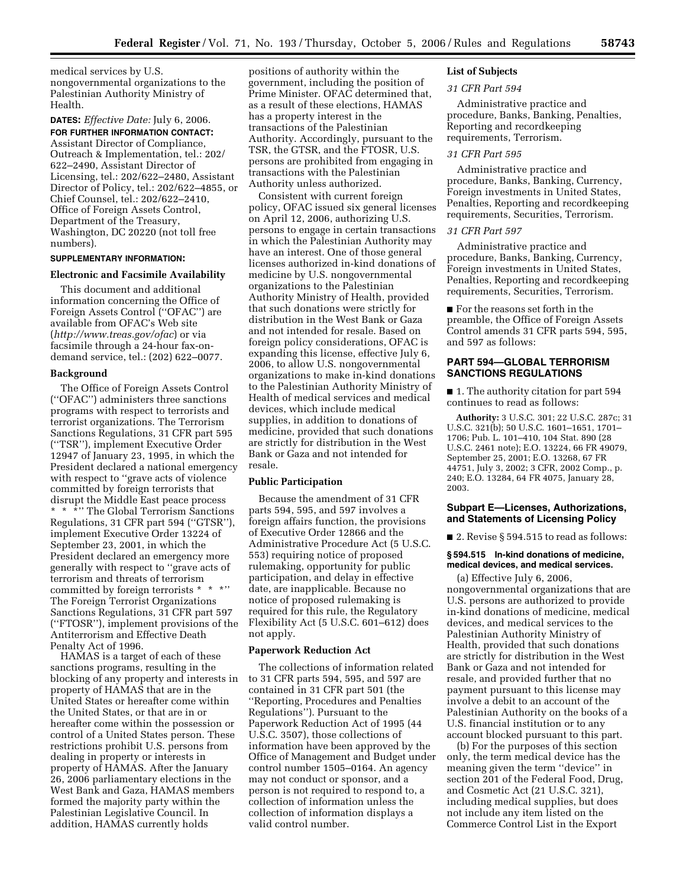medical services by U.S. nongovernmental organizations to the Palestinian Authority Ministry of Health.

### **DATES:** *Effective Date:* July 6, 2006. **FOR FURTHER INFORMATION CONTACT:**

Assistant Director of Compliance, Outreach & Implementation, tel.: 202/ 622–2490, Assistant Director of Licensing, tel.: 202/622–2480, Assistant Director of Policy, tel.: 202/622–4855, or Chief Counsel, tel.: 202/622–2410, Office of Foreign Assets Control, Department of the Treasury, Washington, DC 20220 (not toll free numbers).

# **SUPPLEMENTARY INFORMATION:**

## **Electronic and Facsimile Availability**

This document and additional information concerning the Office of Foreign Assets Control (''OFAC'') are available from OFAC's Web site (*http://www.treas.gov/ofac*) or via facsimile through a 24-hour fax-ondemand service, tel.: (202) 622–0077.

### **Background**

The Office of Foreign Assets Control (''OFAC'') administers three sanctions programs with respect to terrorists and terrorist organizations. The Terrorism Sanctions Regulations, 31 CFR part 595 (''TSR''), implement Executive Order 12947 of January 23, 1995, in which the President declared a national emergency with respect to ''grave acts of violence committed by foreign terrorists that disrupt the Middle East peace process \*\*\*'' The Global Terrorism Sanctions Regulations, 31 CFR part 594 (''GTSR''), implement Executive Order 13224 of September 23, 2001, in which the President declared an emergency more generally with respect to ''grave acts of terrorism and threats of terrorism committed by foreign terrorists \* \* \*'' The Foreign Terrorist Organizations Sanctions Regulations, 31 CFR part 597 (''FTOSR''), implement provisions of the Antiterrorism and Effective Death Penalty Act of 1996.

HAMAS is a target of each of these sanctions programs, resulting in the blocking of any property and interests in property of HAMAS that are in the United States or hereafter come within the United States, or that are in or hereafter come within the possession or control of a United States person. These restrictions prohibit U.S. persons from dealing in property or interests in property of HAMAS. After the January 26, 2006 parliamentary elections in the West Bank and Gaza, HAMAS members formed the majority party within the Palestinian Legislative Council. In addition, HAMAS currently holds

positions of authority within the government, including the position of Prime Minister. OFAC determined that, as a result of these elections, HAMAS has a property interest in the transactions of the Palestinian Authority. Accordingly, pursuant to the TSR, the GTSR, and the FTOSR, U.S. persons are prohibited from engaging in transactions with the Palestinian Authority unless authorized.

Consistent with current foreign policy, OFAC issued six general licenses on April 12, 2006, authorizing U.S. persons to engage in certain transactions in which the Palestinian Authority may have an interest. One of those general licenses authorized in-kind donations of medicine by U.S. nongovernmental organizations to the Palestinian Authority Ministry of Health, provided that such donations were strictly for distribution in the West Bank or Gaza and not intended for resale. Based on foreign policy considerations, OFAC is expanding this license, effective July 6, 2006, to allow U.S. nongovernmental organizations to make in-kind donations to the Palestinian Authority Ministry of Health of medical services and medical devices, which include medical supplies, in addition to donations of medicine, provided that such donations are strictly for distribution in the West Bank or Gaza and not intended for resale.

## **Public Participation**

Because the amendment of 31 CFR parts 594, 595, and 597 involves a foreign affairs function, the provisions of Executive Order 12866 and the Administrative Procedure Act (5 U.S.C. 553) requiring notice of proposed rulemaking, opportunity for public participation, and delay in effective date, are inapplicable. Because no notice of proposed rulemaking is required for this rule, the Regulatory Flexibility Act (5 U.S.C. 601–612) does not apply.

## **Paperwork Reduction Act**

The collections of information related to 31 CFR parts 594, 595, and 597 are contained in 31 CFR part 501 (the ''Reporting, Procedures and Penalties Regulations''). Pursuant to the Paperwork Reduction Act of 1995 (44 U.S.C. 3507), those collections of information have been approved by the Office of Management and Budget under control number 1505–0164. An agency may not conduct or sponsor, and a person is not required to respond to, a collection of information unless the collection of information displays a valid control number.

# **List of Subjects**

### *31 CFR Part 594*

Administrative practice and procedure, Banks, Banking, Penalties, Reporting and recordkeeping requirements, Terrorism.

### *31 CFR Part 595*

Administrative practice and procedure, Banks, Banking, Currency, Foreign investments in United States, Penalties, Reporting and recordkeeping requirements, Securities, Terrorism.

## *31 CFR Part 597*

Administrative practice and procedure, Banks, Banking, Currency, Foreign investments in United States, Penalties, Reporting and recordkeeping requirements, Securities, Terrorism.

■ For the reasons set forth in the preamble, the Office of Foreign Assets Control amends 31 CFR parts 594, 595, and 597 as follows:

## **PART 594—GLOBAL TERRORISM SANCTIONS REGULATIONS**

■ 1. The authority citation for part 594 continues to read as follows:

**Authority:** 3 U.S.C. 301; 22 U.S.C. 287c; 31 U.S.C. 321(b); 50 U.S.C. 1601–1651, 1701– 1706; Pub. L. 101–410, 104 Stat. 890 (28 U.S.C. 2461 note); E.O. 13224, 66 FR 49079, September 25, 2001; E.O. 13268, 67 FR 44751, July 3, 2002; 3 CFR, 2002 Comp., p. 240; E.O. 13284, 64 FR 4075, January 28, 2003.

### **Subpart E—Licenses, Authorizations, and Statements of Licensing Policy**

■ 2. Revise § 594.515 to read as follows:

## **§ 594.515 In-kind donations of medicine, medical devices, and medical services.**

(a) Effective July 6, 2006, nongovernmental organizations that are U.S. persons are authorized to provide in-kind donations of medicine, medical devices, and medical services to the Palestinian Authority Ministry of Health, provided that such donations are strictly for distribution in the West Bank or Gaza and not intended for resale, and provided further that no payment pursuant to this license may involve a debit to an account of the Palestinian Authority on the books of a U.S. financial institution or to any account blocked pursuant to this part.

(b) For the purposes of this section only, the term medical device has the meaning given the term ''device'' in section 201 of the Federal Food, Drug, and Cosmetic Act (21 U.S.C. 321), including medical supplies, but does not include any item listed on the Commerce Control List in the Export